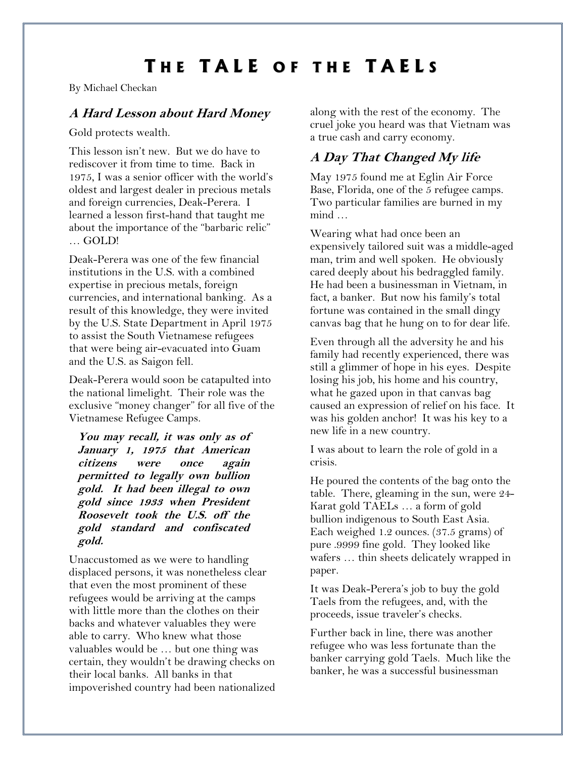# **T H E T A L E O F T H E T A E L S**

By Michael Checkan

## **A Hard Lesson about Hard Money**

Gold protects wealth.

This lesson isn't new. But we do have to rediscover it from time to time. Back in 1975, I was a senior officer with the world's oldest and largest dealer in precious metals and foreign currencies, Deak-Perera. I learned a lesson first-hand that taught me about the importance of the "barbaric relic" … GOLD!

Deak-Perera was one of the few financial institutions in the U.S. with a combined expertise in precious metals, foreign currencies, and international banking. As a result of this knowledge, they were invited by the U.S. State Department in April 1975 to assist the South Vietnamese refugees that were being air-evacuated into Guam and the U.S. as Saigon fell.

Deak-Perera would soon be catapulted into the national limelight. Their role was the exclusive "money changer" for all five of the Vietnamese Refugee Camps.

**You may recall, it was only as of January 1, 1975 that American citizens were once again permitted to legally own bullion gold. It had been illegal to own gold since 1933 when President Roosevelt took the U.S. off the gold standard and confiscated gold.**

Unaccustomed as we were to handling displaced persons, it was nonetheless clear that even the most prominent of these refugees would be arriving at the camps with little more than the clothes on their backs and whatever valuables they were able to carry. Who knew what those valuables would be … but one thing was certain, they wouldn't be drawing checks on their local banks. All banks in that impoverished country had been nationalized along with the rest of the economy. The cruel joke you heard was that Vietnam was a true cash and carry economy.

# **A Day That Changed My life**

May 1975 found me at Eglin Air Force Base, Florida, one of the 5 refugee camps. Two particular families are burned in my mind …

Wearing what had once been an expensively tailored suit was a middle-aged man, trim and well spoken. He obviously cared deeply about his bedraggled family. He had been a businessman in Vietnam, in fact, a banker. But now his family's total fortune was contained in the small dingy canvas bag that he hung on to for dear life.

Even through all the adversity he and his family had recently experienced, there was still a glimmer of hope in his eyes. Despite losing his job, his home and his country, what he gazed upon in that canvas bag caused an expression of relief on his face. It was his golden anchor! It was his key to a new life in a new country.

I was about to learn the role of gold in a crisis.

He poured the contents of the bag onto the table. There, gleaming in the sun, were 24- Karat gold TAELs … a form of gold bullion indigenous to South East Asia. Each weighed 1.2 ounces. (37.5 grams) of pure .9999 fine gold. They looked like wafers … thin sheets delicately wrapped in paper.

It was Deak-Perera's job to buy the gold Taels from the refugees, and, with the proceeds, issue traveler's checks.

Further back in line, there was another refugee who was less fortunate than the banker carrying gold Taels. Much like the banker, he was a successful businessman